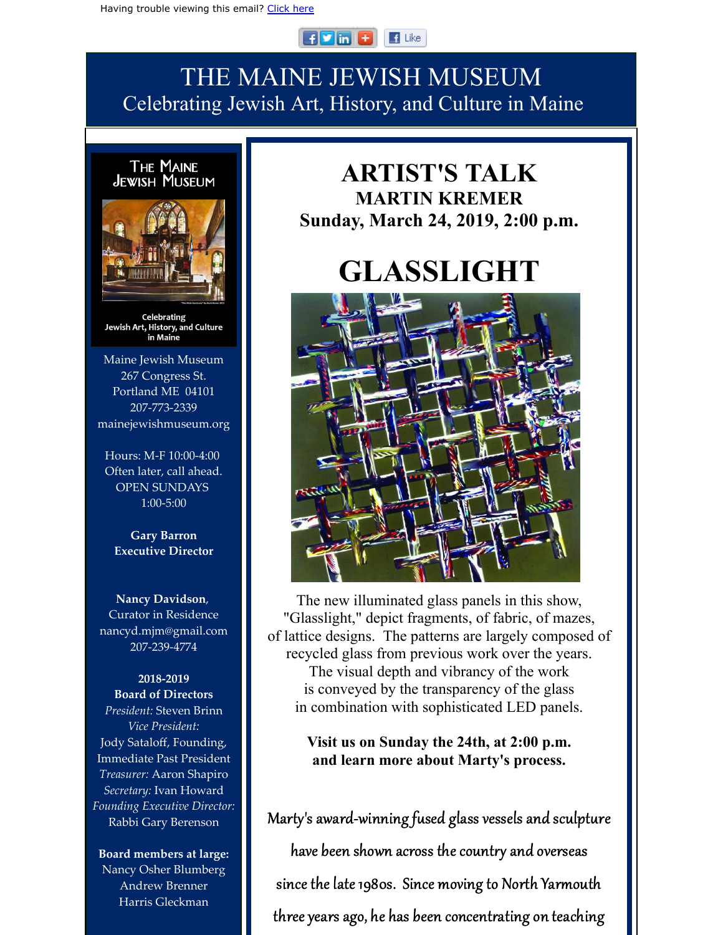## $F$  in  $F$  $\blacksquare$  Like

## THE MAINE JEWISH MUSEUM Celebrating Jewish Art, History, and Culture in Maine



Celebrating Jewish Art, History, and Culture in Maine

Maine Jewish Museum 267 Congress St. Portland ME 04101 207-773-2339 mainejewishmuseum.org

Hours: M-F 10:00-4:00 Often later, call ahead. OPEN SUNDAYS 1:00-5:00

**Gary Barron Executive Director**

**Nancy Davidson**, Curator in Residence nancyd.mjm@gmail.com 207-239-4774

## **2018-2019 Board of Directors**

*President:* Steven Brinn *Vice President:* Jody Sataloff, Founding, Immediate Past President *Treasurer:* Aaron Shapiro *Secretary:* Ivan Howard *Founding Executive Director:* Rabbi Gary Berenson

**Board members at large:**

Nancy Osher Blumberg Andrew Brenner Harris Gleckman

**ARTIST'S TALK MARTIN KREMER Sunday, March 24, 2019, 2:00 p.m.**

## **GLASSLIGHT**



The new illuminated glass panels in this show, "Glasslight," depict fragments, of fabric, of mazes, of lattice designs. The patterns are largely composed of recycled glass from previous work over the years. The visual depth and vibrancy of the work is conveyed by the transparency of the glass in combination with sophisticated LED panels.

> **Visit us on Sunday the 24th, at 2:00 p.m. and learn more about Marty's process.**

Marty's award-winning fused glass vessels and sculpture have been shown across the country and overseas since the late 1980s. Since moving to North Yarmouth three years ago, he has been concentating on teaching